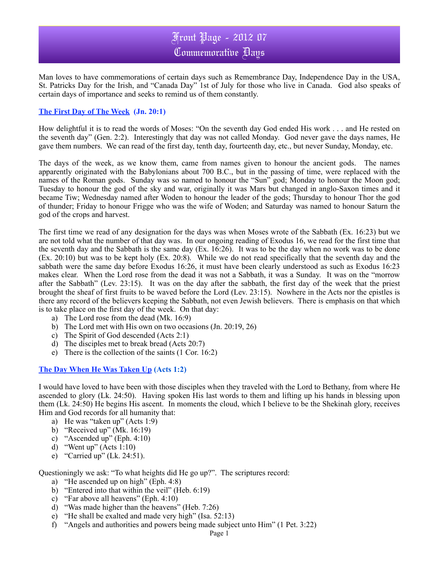# Front Page - 2012 07 Commemorative Days

Man loves to have commemorations of certain days such as Remembrance Day, Independence Day in the USA, St. Patricks Day for the Irish, and "Canada Day" 1st of July for those who live in Canada. God also speaks of certain days of importance and seeks to remind us of them constantly.

### **The First Day of The Week (Jn. 20:1)**

How delightful it is to read the words of Moses: "On the seventh day God ended His work . . . and He rested on the seventh day" (Gen. 2:2). Interestingly that day was not called Monday. God never gave the days names, He gave them numbers. We can read of the first day, tenth day, fourteenth day, etc., but never Sunday, Monday, etc.

The days of the week, as we know them, came from names given to honour the ancient gods. The names apparently originated with the Babylonians about 700 B.C., but in the passing of time, were replaced with the names of the Roman gods. Sunday was so named to honour the "Sun" god; Monday to honour the Moon god; Tuesday to honour the god of the sky and war, originally it was Mars but changed in anglo-Saxon times and it became Tiw; Wednesday named after Woden to honour the leader of the gods; Thursday to honour Thor the god of thunder; Friday to honour Frigge who was the wife of Woden; and Saturday was named to honour Saturn the god of the crops and harvest.

The first time we read of any designation for the days was when Moses wrote of the Sabbath (Ex. 16:23) but we are not told what the number of that day was. In our ongoing reading of Exodus 16, we read for the first time that the seventh day and the Sabbath is the same day (Ex. 16:26). It was to be the day when no work was to be done (Ex. 20:10) but was to be kept holy (Ex. 20:8). While we do not read specifically that the seventh day and the sabbath were the same day before Exodus 16:26, it must have been clearly understood as such as Exodus 16:23 makes clear. When the Lord rose from the dead it was not a Sabbath, it was a Sunday. It was on the "morrow after the Sabbath" (Lev. 23:15). It was on the day after the sabbath, the first day of the week that the priest brought the sheaf of first fruits to be waved before the Lord (Lev. 23:15). Nowhere in the Acts nor the epistles is there any record of the believers keeping the Sabbath, not even Jewish believers. There is emphasis on that which is to take place on the first day of the week. On that day:

- a) The Lord rose from the dead (Mk. 16:9)
- b) The Lord met with His own on two occasions (Jn. 20:19, 26)
- c) The Spirit of God descended (Acts 2:1)
- d) The disciples met to break bread (Acts 20:7)
- e) There is the collection of the saints (1 Cor. 16:2)

### **The Day When He Was Taken Up (Acts 1:2)**

I would have loved to have been with those disciples when they traveled with the Lord to Bethany, from where He ascended to glory (Lk. 24:50). Having spoken His last words to them and lifting up his hands in blessing upon them (Lk. 24:50) He begins His ascent. In moments the cloud, which I believe to be the Shekinah glory, receives Him and God records for all humanity that:

- a) He was "taken up" (Acts 1:9)
- b) "Received up" (Mk. 16:19)
- c) "Ascended up" (Eph.  $4:10$ )
- d) "Went up" (Acts 1:10)
- e) "Carried up" (Lk. 24:51).

Questioningly we ask: "To what heights did He go up?". The scriptures record:

- a) "He ascended up on high" (Eph. 4:8)
- b) "Entered into that within the veil" (Heb. 6:19)
- c) "Far above all heavens" (Eph. 4:10)
- d) "Was made higher than the heavens" (Heb. 7:26)
- e) "He shall be exalted and made very high" (Isa. 52:13)
- f) "Angels and authorities and powers being made subject unto Him" (1 Pet. 3:22)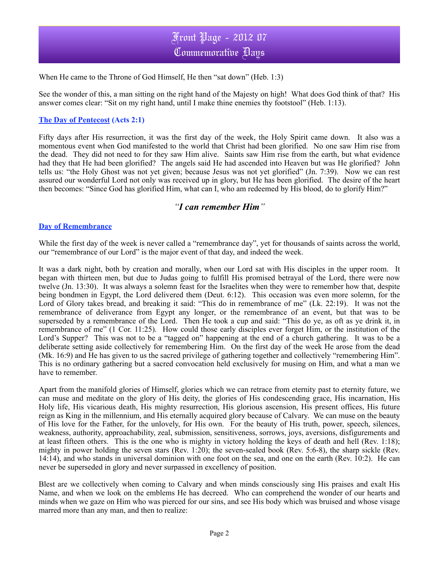

When He came to the Throne of God Himself, He then "sat down" (Heb. 1:3)

See the wonder of this, a man sitting on the right hand of the Majesty on high! What does God think of that? His answer comes clear: "Sit on my right hand, until I make thine enemies thy footstool" (Heb. 1:13).

#### **The Day of Pentecost (Acts 2:1)**

Fifty days after His resurrection, it was the first day of the week, the Holy Spirit came down. It also was a momentous event when God manifested to the world that Christ had been glorified. No one saw Him rise from the dead. They did not need to for they saw Him alive. Saints saw Him rise from the earth, but what evidence had they that He had been glorified? The angels said He had ascended into Heaven but was He glorified? John tells us: "the Holy Ghost was not yet given; because Jesus was not yet glorified" (Jn. 7:39). Now we can rest assured our wonderful Lord not only was received up in glory, but He has been glorified. The desire of the heart then becomes: "Since God has glorified Him, what can I, who am redeemed by His blood, do to glorify Him?"

## *"I can remember Him"*

#### **Day of Remembrance**

While the first day of the week is never called a "remembrance day", yet for thousands of saints across the world, our "remembrance of our Lord" is the major event of that day, and indeed the week.

It was a dark night, both by creation and morally, when our Lord sat with His disciples in the upper room. It began with thirteen men, but due to Judas going to fulfill His promised betrayal of the Lord, there were now twelve (Jn. 13:30). It was always a solemn feast for the Israelites when they were to remember how that, despite being bondmen in Egypt, the Lord delivered them (Deut. 6:12). This occasion was even more solemn, for the Lord of Glory takes bread, and breaking it said: "This do in remembrance of me" (Lk. 22:19). It was not the remembrance of deliverance from Egypt any longer, or the remembrance of an event, but that was to be superseded by a remembrance of the Lord. Then He took a cup and said: "This do ye, as oft as ye drink it, in remembrance of me" (1 Cor. 11:25). How could those early disciples ever forget Him, or the institution of the Lord's Supper? This was not to be a "tagged on" happening at the end of a church gathering. It was to be a deliberate setting aside collectively for remembering Him. On the first day of the week He arose from the dead (Mk. 16:9) and He has given to us the sacred privilege of gathering together and collectively "remembering Him". This is no ordinary gathering but a sacred convocation held exclusively for musing on Him, and what a man we have to remember.

Apart from the manifold glories of Himself, glories which we can retrace from eternity past to eternity future, we can muse and meditate on the glory of His deity, the glories of His condescending grace, His incarnation, His Holy life, His vicarious death, His mighty resurrection, His glorious ascension, His present offices, His future reign as King in the millennium, and His eternally acquired glory because of Calvary. We can muse on the beauty of His love for the Father, for the unlovely, for His own. For the beauty of His truth, power, speech, silences, weakness, authority, approachability, zeal, submission, sensitiveness, sorrows, joys, aversions, disfigurements and at least fifteen others. This is the one who is mighty in victory holding the keys of death and hell (Rev. 1:18); mighty in power holding the seven stars (Rev. 1:20); the seven-sealed book (Rev. 5:6-8), the sharp sickle (Rev. 14:14), and who stands in universal dominion with one foot on the sea, and one on the earth (Rev. 10:2). He can never be superseded in glory and never surpassed in excellency of position.

Blest are we collectively when coming to Calvary and when minds consciously sing His praises and exalt His Name, and when we look on the emblems He has decreed. Who can comprehend the wonder of our hearts and minds when we gaze on Him who was pierced for our sins, and see His body which was bruised and whose visage marred more than any man, and then to realize: